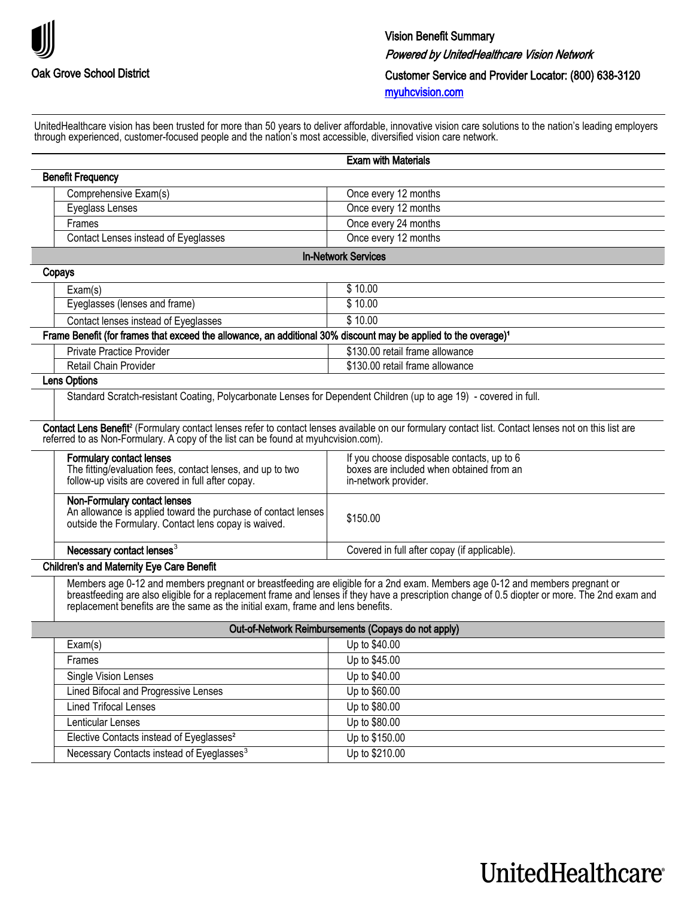

UnitedHealthcare vision has been trusted for more than 50 years to deliver affordable, innovative vision care solutions to the nation's leading employers through experienced, customer-focused people and the nation's most accessible, diversified vision care network.

|                                                                                                                                                       | <b>Exam with Materials</b>                                                                                                                                                                                                                                                     |
|-------------------------------------------------------------------------------------------------------------------------------------------------------|--------------------------------------------------------------------------------------------------------------------------------------------------------------------------------------------------------------------------------------------------------------------------------|
| <b>Benefit Frequency</b>                                                                                                                              |                                                                                                                                                                                                                                                                                |
| Comprehensive Exam(s)                                                                                                                                 | Once every 12 months                                                                                                                                                                                                                                                           |
| Eyeglass Lenses                                                                                                                                       | Once every 12 months                                                                                                                                                                                                                                                           |
| Frames                                                                                                                                                | Once every 24 months                                                                                                                                                                                                                                                           |
| Contact Lenses instead of Eyeglasses                                                                                                                  | Once every 12 months                                                                                                                                                                                                                                                           |
|                                                                                                                                                       | <b>In-Network Services</b>                                                                                                                                                                                                                                                     |
| Copays                                                                                                                                                |                                                                                                                                                                                                                                                                                |
| Exam(s)                                                                                                                                               | \$10.00                                                                                                                                                                                                                                                                        |
| Eyeglasses (lenses and frame)                                                                                                                         | \$10.00                                                                                                                                                                                                                                                                        |
| Contact lenses instead of Eyeglasses                                                                                                                  | \$10.00                                                                                                                                                                                                                                                                        |
| Frame Benefit (for frames that exceed the allowance, an additional 30% discount may be applied to the overage) <sup>1</sup>                           |                                                                                                                                                                                                                                                                                |
| <b>Private Practice Provider</b>                                                                                                                      | \$130.00 retail frame allowance                                                                                                                                                                                                                                                |
| Retail Chain Provider                                                                                                                                 | \$130.00 retail frame allowance                                                                                                                                                                                                                                                |
| Lens Options                                                                                                                                          |                                                                                                                                                                                                                                                                                |
| Standard Scratch-resistant Coating, Polycarbonate Lenses for Dependent Children (up to age 19) - covered in full.                                     |                                                                                                                                                                                                                                                                                |
| referred to as Non-Formulary. A copy of the list can be found at myuhovision.com).                                                                    | Contact Lens Benefit <sup>2</sup> (Formulary contact lenses refer to contact lenses available on our formulary contact list. Contact lenses not on this list are                                                                                                               |
| <b>Formulary contact lenses</b><br>The fitting/evaluation fees, contact lenses, and up to two<br>follow-up visits are covered in full after copay.    | If you choose disposable contacts, up to 6<br>boxes are included when obtained from an<br>in-network provider.                                                                                                                                                                 |
| Non-Formulary contact lenses<br>An allowance is applied toward the purchase of contact lenses<br>outside the Formulary. Contact lens copay is waived. | \$150.00                                                                                                                                                                                                                                                                       |
| Necessary contact lenses <sup>3</sup>                                                                                                                 | Covered in full after copay (if applicable).                                                                                                                                                                                                                                   |
| <b>Children's and Maternity Eye Care Benefit</b>                                                                                                      |                                                                                                                                                                                                                                                                                |
| replacement benefits are the same as the initial exam, frame and lens benefits.                                                                       | Members age 0-12 and members pregnant or breastfeeding are eligible for a 2nd exam. Members age 0-12 and members pregnant or<br>breastfeeding are also eligible for a replacement frame and lenses if they have a prescription change of 0.5 diopter or more. The 2nd exam and |
|                                                                                                                                                       | Out-of-Network Reimbursements (Copays do not apply)                                                                                                                                                                                                                            |
| Exam(s)                                                                                                                                               | Up to \$40.00                                                                                                                                                                                                                                                                  |
| Frames                                                                                                                                                | Up to \$45.00                                                                                                                                                                                                                                                                  |
| <b>Single Vision Lenses</b>                                                                                                                           | Up to \$40.00                                                                                                                                                                                                                                                                  |
| Lined Bifocal and Progressive Lenses                                                                                                                  | Up to \$60.00                                                                                                                                                                                                                                                                  |

| Lenticular Lenses                                     | Up to \$80.00  |
|-------------------------------------------------------|----------------|
| Elective Contacts instead of Eyeglasses <sup>2</sup>  | Up to \$150.00 |
| Necessary Contacts instead of Eyeglasses <sup>3</sup> | Up to \$210.00 |
|                                                       |                |

Lined Trifocal Lenses and Up to \$80.00

## UnitedHealthcare®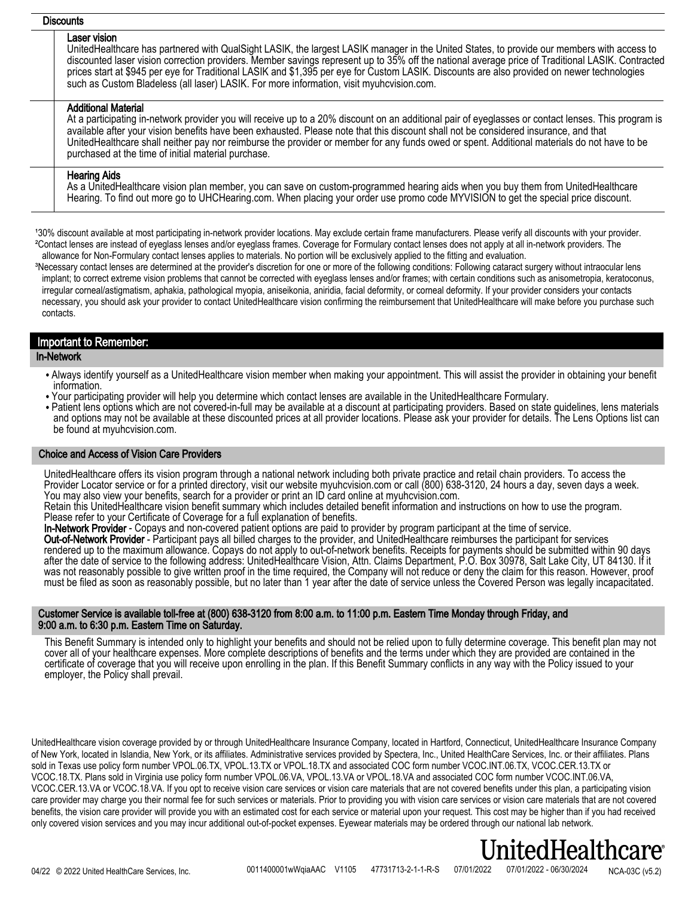## **Discounts**

#### Laser vision

UnitedHealthcare has partnered with QualSight LASIK, the largest LASIK manager in the United States, to provide our members with access to discounted laser vision correction providers. Member savings represent up to 35% off the national average price of Traditional LASIK. Contracted prices start at \$945 per eye for Traditional LASIK and \$1,395 per eye for Custom LASIK. Discounts are also provided on newer technologies such as Custom Bladeless (all laser) LASIK. For more information, visit myuhcvision.com.

## Additional Material

At a participating in-network provider you will receive up to a 20% discount on an additional pair of eyeglasses or contact lenses. This program is available after your vision benefits have been exhausted. Please note that this discount shall not be considered insurance, and that UnitedHealthcare shall neither pay nor reimburse the provider or member for any funds owed or spent. Additional materials do not have to be purchased at the time of initial material purchase.

## Hearing Aids

As a UnitedHealthcare vision plan member, you can save on custom-programmed hearing aids when you buy them from UnitedHealthcare Hearing. To find out more go to UHCHearing.com. When placing your order use promo code MYVISION to get the special price discount.

130% discount available at most participating in-network provider locations. May exclude certain frame manufacturers. Please verify all discounts with your provider. ²Contact lenses are instead of eyeglass lenses and/or eyeglass frames. Coverage for Formulary contact lenses does not apply at all in-network providers. The allowance for Non-Formulary contact lenses applies to materials. No portion will be exclusively applied to the fitting and evaluation.

<sup>3</sup>Necessary contact lenses are determined at the provider's discretion for one or more of the following conditions: Following cataract surgery without intraocular lens implant; to correct extreme vision problems that cannot be corrected with eyeglass lenses and/or frames; with certain conditions such as anisometropia, keratoconus, irregular corneal/astigmatism, aphakia, pathological myopia, aniseikonia, aniridia, facial deformity, or corneal deformity. If your provider considers your contacts necessary, you should ask your provider to contact UnitedHealthcare vision confirming the reimbursement that UnitedHealthcare will make before you purchase such contacts.

## Important to Remember:

## In-Network

- Always identify yourself as a UnitedHealthcare vision member when making your appointment. This will assist the provider in obtaining your benefit information.
- Your participating provider will help you determine which contact lenses are available in the UnitedHealthcare Formulary.
- Patient lens options which are not covered-in-full may be available at a discount at participating providers. Based on state guidelines, lens materials and options may not be available at these discounted prices at all provider locations. Please ask your provider for details. The Lens Options list can be found at myuhcvision.com.

## Choice and Access of Vision Care Providers

UnitedHealthcare offers its vision program through a national network including both private practice and retail chain providers. To access the Provider Locator service or for a printed directory, visit our website myuhcvision.com or call (800) 638-3120, 24 hours a day, seven days a week. You may also view your benefits, search for a provider or print an ID card online at myuhcvision.com.

Retain this UnitedHealthcare vision benefit summary which includes detailed benefit information and instructions on how to use the program. Please refer to your Certificate of Coverage for a full explanation of benefits.

In-Network Provider - Copays and non-covered patient options are paid to provider by program participant at the time of service. Out-of-Network Provider - Participant pays all billed charges to the provider, and UnitedHealthcare reimburses the participant for services rendered up to the maximum allowance. Copays do not apply to out-of-network benefits. Receipts for payments should be submitted within 90 days after the date of service to the following address: UnitedHealthcare Vision, Attn. Claims Department, P.O. Box 30978, Salt Lake City, UT 84130. If it was not reasonably possible to give written proof in the time required, the Company will not reduce or deny the claim for this reason. However, proof must be filed as soon as reasonably possible, but no later than 1 year after the date of service unless the Covered Person was legally incapacitated.

### Customer Service is available toll-free at (800) 638-3120 from 8:00 a.m. to 11:00 p.m. Eastern Time Monday through Friday, and 9:00 a.m. to 6:30 p.m. Eastern Time on Saturday.

This Benefit Summary is intended only to highlight your benefits and should not be relied upon to fully determine coverage. This benefit plan may not cover all of your healthcare expenses. More complete descriptions of benefits and the terms under which they are provided are contained in the certificate of coverage that you will receive upon enrolling in the plan. If this Benefit Summary conflicts in any way with the Policy issued to your employer, the Policy shall prevail.

UnitedHealthcare vision coverage provided by or through UnitedHealthcare Insurance Company, located in Hartford, Connecticut, UnitedHealthcare Insurance Company of New York, located in Islandia, New York, or its affiliates. Administrative services provided by Spectera, Inc., United HealthCare Services, Inc. or their affiliates. Plans sold in Texas use policy form number VPOL.06.TX, VPOL.13.TX or VPOL.18.TX and associated COC form number VCOC.INT.06.TX, VCOC.CER.13.TX or VCOC.18.TX. Plans sold in Virginia use policy form number VPOL.06.VA, VPOL.13.VA or VPOL.18.VA and associated COC form number VCOC.INT.06.VA, VCOC.CER.13.VA or VCOC.18.VA. If you opt to receive vision care services or vision care materials that are not covered benefits under this plan, a participating vision care provider may charge you their normal fee for such services or materials. Prior to providing you with vision care services or vision care materials that are not covered benefits, the vision care provider will provide you with an estimated cost for each service or material upon your request. This cost may be higher than if you had received only covered vision services and you may incur additional out-of-pocket expenses. Eyewear materials may be ordered through our national lab network.

# tedHealthcare

0011400001wWqiaAAC V1105 47731713-2-1-1-R-S 07/01/2022 07/01/2022 - 06/30/2024 NCA-03C (v5.2)